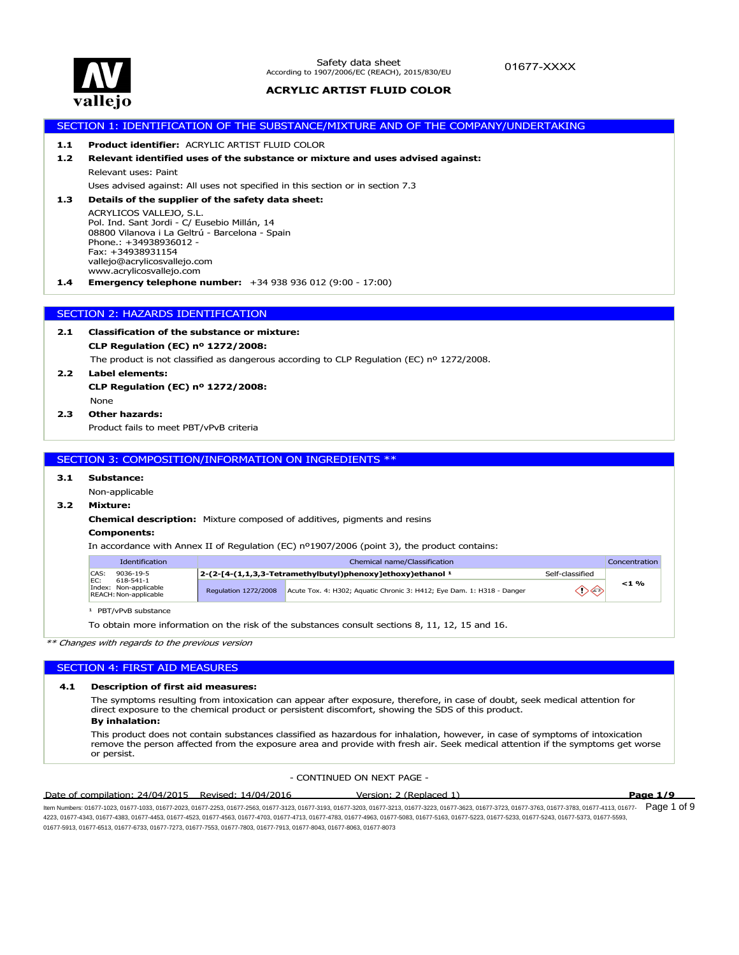

# SECTION 1: IDENTIFICATION OF THE SUBSTANCE/MIXTURE AND OF THE COMPANY/UNDERTAKING **1.4 Emergency telephone number:** +34 938 936 012 (9:00 - 17:00) ACRYLICOS VALLEJO, S.L. Pol. Ind. Sant Jordi - C/ Eusebio Millán, 14 08800 Vilanova i La Geltrú - Barcelona - Spain Phone.: +34938936012 - Fax: +34938931154 vallejo@acrylicosvallejo.com www.acrylicosvallejo.com **1.3 Details of the supplier of the safety data sheet:** Uses advised against: All uses not specified in this section or in section 7.3 Relevant uses: Paint **1.2 Relevant identified uses of the substance or mixture and uses advised against: 1.1 Product identifier:** ACRYLIC ARTIST FLUID COLOR SECTION 2: HAZARDS IDENTIFICATION **2.2 Label elements:** The product is not classified as dangerous according to CLP Regulation (EC) nº 1272/2008. **CLP Regulation (EC) nº 1272/2008: 2.1 Classification of the substance or mixture:** Product fails to meet PBT/vPvB criteria **2.3 Other hazards:** None **CLP Regulation (EC) nº 1272/2008:** SECTION 3: COMPOSITION/INFORMATION ON INGREDIENTS \*\*

# **3.1 Substance:**

### Non-applicable

### **3.2 Mixture:**

**Chemical description:** Mixture composed of additives, pigments and resins

#### **Components:**

In accordance with Annex II of Regulation (EC) nº1907/2006 (point 3), the product contains:

| Identification                                                     | Chemical name/Classification<br>Concentration |                                                                         |                 |         |
|--------------------------------------------------------------------|-----------------------------------------------|-------------------------------------------------------------------------|-----------------|---------|
| CAS:<br>9036-19-5                                                  |                                               | $2-(2-[4-(1,1,3,3-Tetramethylbutyl)phenoxy]ethaxy)$ ethoxy) ethanol $1$ | Self-classified |         |
| FC:<br>618-541-1<br>Index: Non-applicable<br>REACH: Non-applicable | <b>Regulation 1272/2008</b>                   | Acute Tox. 4: H302; Aquatic Chronic 3: H412; Eye Dam. 1: H318 - Danger  | ◇◇              | $<$ 1 % |

<sup>1</sup> PBT/vPvB substance

To obtain more information on the risk of the substances consult sections 8, 11, 12, 15 and 16.

*\*\* Changes with regards to the previous version*

#### SECTION 4: FIRST AID MEASURES

#### **4.1 Description of first aid measures:**

The symptoms resulting from intoxication can appear after exposure, therefore, in case of doubt, seek medical attention for direct exposure to the chemical product or persistent discomfort, showing the SDS of this product.

#### **By inhalation:**

This product does not contain substances classified as hazardous for inhalation, however, in case of symptoms of intoxication remove the person affected from the exposure area and provide with fresh air. Seek medical attention if the symptoms get worse or persist.

- CONTINUED ON NEXT PAGE -

#### Date of compilation: 24/04/2015 Revised: 14/04/2016 Version: 2 (Replaced 1) **Page 1/9**

ltem Numbers: 01677-1023, 01677-1033, 01677-2023, 01677-2253, 01677-2563, 01677-3123, 01677-32303, 01677-3213, 01677-3723, 01677-3723, 01677-3783, 01677-3783, 01677-4113, 01677-  ${\sf Page~1~of~9}$ 4223, 01677-4343, 01677-4383, 01677-4453, 01677-4523, 01677-4563, 01677-4703, 01677-4713, 01677-4783, 01677-4963, 01677-5083, 01677-5163, 01677-5223, 01677-5233, 01677-5243, 01677-5373, 01677-5593, 01677-5913, 01677-6513, 01677-6733, 01677-7273, 01677-7553, 01677-7803, 01677-7913, 01677-8043, 01677-8063, 01677-8073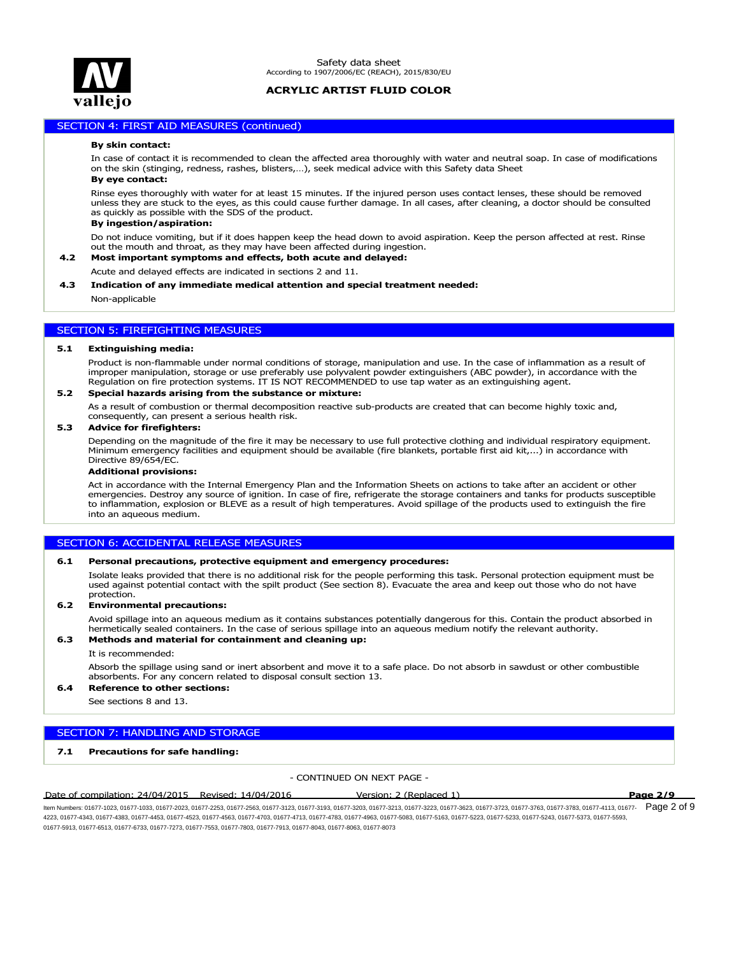

### SECTION 4: FIRST AID MEASURES (continued)

#### **By skin contact:**

In case of contact it is recommended to clean the affected area thoroughly with water and neutral soap. In case of modifications on the skin (stinging, redness, rashes, blisters,…), seek medical advice with this Safety data Sheet

#### **By eye contact:**

Rinse eyes thoroughly with water for at least 15 minutes. If the injured person uses contact lenses, these should be removed unless they are stuck to the eyes, as this could cause further damage. In all cases, after cleaning, a doctor should be consulted as quickly as possible with the SDS of the product.

### **By ingestion/aspiration:**

Do not induce vomiting, but if it does happen keep the head down to avoid aspiration. Keep the person affected at rest. Rinse out the mouth and throat, as they may have been affected during ingestion.

### **4.2 Most important symptoms and effects, both acute and delayed:**

Acute and delayed effects are indicated in sections 2 and 11.

#### **4.3 Indication of any immediate medical attention and special treatment needed:**

Non-applicable

### SECTION 5: FIREFIGHTING MEASURES

#### **5.1 Extinguishing media:**

Product is non-flammable under normal conditions of storage, manipulation and use. In the case of inflammation as a result of improper manipulation, storage or use preferably use polyvalent powder extinguishers (ABC powder), in accordance with the Regulation on fire protection systems. IT IS NOT RECOMMENDED to use tap water as an extinguishing agent.

#### **5.2 Special hazards arising from the substance or mixture:**

As a result of combustion or thermal decomposition reactive sub-products are created that can become highly toxic and, consequently, can present a serious health risk.

#### **5.3 Advice for firefighters:**

Depending on the magnitude of the fire it may be necessary to use full protective clothing and individual respiratory equipment. Minimum emergency facilities and equipment should be available (fire blankets, portable first aid kit,...) in accordance with Directive 89/654/EC.

#### **Additional provisions:**

Act in accordance with the Internal Emergency Plan and the Information Sheets on actions to take after an accident or other emergencies. Destroy any source of ignition. In case of fire, refrigerate the storage containers and tanks for products susceptible to inflammation, explosion or BLEVE as a result of high temperatures. Avoid spillage of the products used to extinguish the fire into an aqueous medium.

### SECTION 6: ACCIDENTAL RELEASE MEASURES

#### **6.1 Personal precautions, protective equipment and emergency procedures:**

Isolate leaks provided that there is no additional risk for the people performing this task. Personal protection equipment must be used against potential contact with the spilt product (See section 8). Evacuate the area and keep out those who do not have protection.

#### **6.2 Environmental precautions:**

Avoid spillage into an aqueous medium as it contains substances potentially dangerous for this. Contain the product absorbed in hermetically sealed containers. In the case of serious spillage into an aqueous medium notify the relevant authority.

#### **6.3 Methods and material for containment and cleaning up:**

#### It is recommended:

Absorb the spillage using sand or inert absorbent and move it to a safe place. Do not absorb in sawdust or other combustible absorbents. For any concern related to disposal consult section 13.

### **6.4 Reference to other sections:**

See sections 8 and 13.

### SECTION 7: HANDLING AND STORAGE

### **7.1 Precautions for safe handling:**

- CONTINUED ON NEXT PAGE -

Date of compilation: 24/04/2015 Revised: 14/04/2016 Version: 2 (Replaced 1) **Page 2/9**

ltem Numbers: 01677-1023, 01677-1033, 01677-2023, 01677-2253, 01677-2563, 01677-3123, 01677-32303, 01677-3213, 01677-3723, 01677-3723, 01677-3783, 01677-3783, 01677-4113, 01677-  ${\sf Page}$  2 of 9 4223, 01677-4343, 01677-4383, 01677-4453, 01677-4523, 01677-4563, 01677-4703, 01677-4713, 01677-4783, 01677-4963, 01677-5083, 01677-5163, 01677-5223, 01677-5233, 01677-5243, 01677-5373, 01677-5593, 01677-5913, 01677-6513, 01677-6733, 01677-7273, 01677-7553, 01677-7803, 01677-7913, 01677-8043, 01677-8063, 01677-8073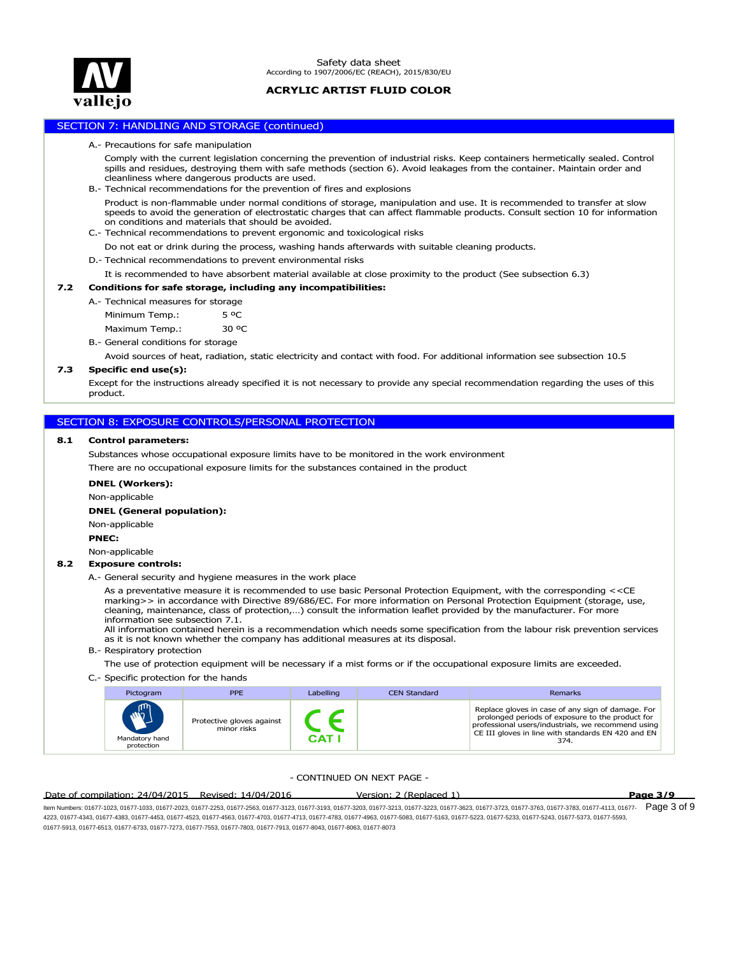

### SECTION 7: HANDLING AND STORAGE (continued)

#### A.- Precautions for safe manipulation

Comply with the current legislation concerning the prevention of industrial risks. Keep containers hermetically sealed. Control spills and residues, destroying them with safe methods (section 6). Avoid leakages from the container. Maintain order and cleanliness where dangerous products are used.

B.- Technical recommendations for the prevention of fires and explosions

Product is non-flammable under normal conditions of storage, manipulation and use. It is recommended to transfer at slow speeds to avoid the generation of electrostatic charges that can affect flammable products. Consult section 10 for information on conditions and materials that should be avoided.

- C.- Technical recommendations to prevent ergonomic and toxicological risks
	- Do not eat or drink during the process, washing hands afterwards with suitable cleaning products.

D.- Technical recommendations to prevent environmental risks

It is recommended to have absorbent material available at close proximity to the product (See subsection 6.3)

#### **7.2 Conditions for safe storage, including any incompatibilities:**

A.- Technical measures for storage

Maximum Temp.: 30 ºC Minimum Temp.: 5 °C

B.- General conditions for storage

Avoid sources of heat, radiation, static electricity and contact with food. For additional information see subsection 10.5

### **7.3 Specific end use(s):**

Except for the instructions already specified it is not necessary to provide any special recommendation regarding the uses of this product.

### SECTION 8: EXPOSURE CONTROLS/PERSONAL PROTECTION

#### **8.1 Control parameters:**

Substances whose occupational exposure limits have to be monitored in the work environment There are no occupational exposure limits for the substances contained in the product

#### **DNEL (Workers):**

Non-applicable

#### **DNEL (General population):**

Non-applicable

#### **PNEC:**

Non-applicable

### **8.2 Exposure controls:**

A.- General security and hygiene measures in the work place

As a preventative measure it is recommended to use basic Personal Protection Equipment, with the corresponding <<CE marking>> in accordance with Directive 89/686/EC. For more information on Personal Protection Equipment (storage, use, cleaning, maintenance, class of protection,…) consult the information leaflet provided by the manufacturer. For more information see subsection 7.1.

All information contained herein is a recommendation which needs some specification from the labour risk prevention services as it is not known whether the company has additional measures at its disposal.

B.- Respiratory protection

The use of protection equipment will be necessary if a mist forms or if the occupational exposure limits are exceeded.

C.- Specific protection for the hands

| Pictogram                                    | PPE.                                     | Labelling | <b>CEN Standard</b> | Remarks                                                                                                                                                                                                                   |
|----------------------------------------------|------------------------------------------|-----------|---------------------|---------------------------------------------------------------------------------------------------------------------------------------------------------------------------------------------------------------------------|
| $\mathbf{w}$<br>Mandatory hand<br>protection | Protective gloves against<br>minor risks | CAT.      |                     | Replace gloves in case of any sign of damage. For<br>prolonged periods of exposure to the product for<br>professional users/industrials, we recommend using<br>CE III gloves in line with standards EN 420 and EN<br>374. |

### - CONTINUED ON NEXT PAGE -

### Date of compilation: 24/04/2015 Revised: 14/04/2016 Version: 2 (Replaced 1) **Page 3/9**

ltem Numbers: 01677-1023, 01677-1033, 01677-2023, 01677-2253, 01677-2563, 01677-3123, 01677-32303, 01677-3213, 01677-3723, 01677-3723, 01677-3783, 01677-3783, 01677-4113, 01677-  ${\sf Page}~3~{\sf of}~9$ 4223, 01677-4343, 01677-4383, 01677-4453, 01677-4523, 01677-4563, 01677-4703, 01677-4713, 01677-4783, 01677-4963, 01677-5083, 01677-5163, 01677-5223, 01677-5233, 01677-5243, 01677-5373, 01677-5593, 01677-5913, 01677-6513, 01677-6733, 01677-7273, 01677-7553, 01677-7803, 01677-7913, 01677-8043, 01677-8063, 01677-8073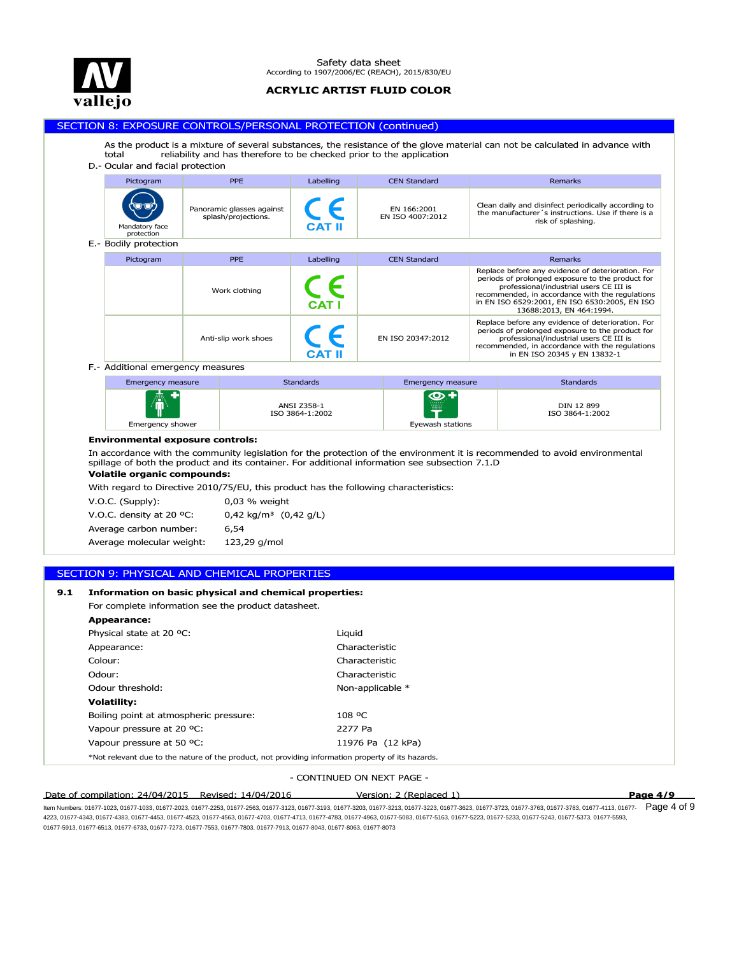

#### $\sqrt{P^2 + P^2}$ Safety data sheet According to 1907/2006/EC (REACH), 2015/830/EU

### **ACRYLIC ARTIST FLUID COLOR**

### SECTION 8: EXPOSURE CONTROLS/PERSONAL PROTECTION (continued)

As the product is a mixture of several substances, the resistance of the glove material can not be calculated in advance with total reliability and has therefore to be checked prior to the application

### D.- Ocular and facial protection



| Lincrychty measure | Juanuarus.                     | <b>LINCRYCING</b> INCOSULT | Juan ida da                   |
|--------------------|--------------------------------|----------------------------|-------------------------------|
| 衞                  | ANSI Z358-1<br>ISO 3864-1:2002 | $\mathbf{Q}$<br>W          | DIN 12 899<br>ISO 3864-1:2002 |
| Emergency shower   |                                | Evewash stations           |                               |

#### **Environmental exposure controls:**

In accordance with the community legislation for the protection of the environment it is recommended to avoid environmental spillage of both the product and its container. For additional information see subsection 7.1.D

## **Volatile organic compounds:**

With regard to Directive 2010/75/EU, this product has the following characteristics:

| $V.O.C.$ (Supply):                 | 0,03 % weight                    |
|------------------------------------|----------------------------------|
| V.O.C. density at 20 $^{\circ}$ C: | $0.42 \text{ kg/m}^3$ (0.42 g/L) |
| Average carbon number:             | 6.54                             |
| Average molecular weight:          | 123,29 g/mol                     |

### SECTION 9: PHYSICAL AND CHEMICAL PROPERTIES

### **9.1 Information on basic physical and chemical properties:**

For complete information see the product datasheet.

| <b>Appearance:</b>                                                                                 |                   |
|----------------------------------------------------------------------------------------------------|-------------------|
| Physical state at 20 °C:                                                                           | Liguid            |
| Appearance:                                                                                        | Characteristic    |
| Colour:                                                                                            | Characteristic    |
| Odour:                                                                                             | Characteristic    |
| Odour threshold:                                                                                   | Non-applicable *  |
| <b>Volatility:</b>                                                                                 |                   |
| Boiling point at atmospheric pressure:                                                             | $108 \text{°C}$   |
| Vapour pressure at 20 °C:                                                                          | 2277 Pa           |
| Vapour pressure at 50 °C:                                                                          | 11976 Pa (12 kPa) |
| *Not relevant due to the nature of the product, not providing information property of its hazards. |                   |

#### - CONTINUED ON NEXT PAGE -

#### Date of compilation: 24/04/2015 Revised: 14/04/2016 Version: 2 (Replaced 1) **Page 4/9**

ltem Numbers: 01677-1023, 01677-1033, 01677-2023, 01677-2253, 01677-2563, 01677-3123, 01677-32303, 01677-3213, 01677-3723, 01677-3723, 01677-3783, 01677-3783, 01677-4113, 01677-  ${\sf Page}$  4 of 9 4223, 01677-4343, 01677-4383, 01677-4453, 01677-4523, 01677-4563, 01677-4703, 01677-4713, 01677-4783, 01677-4963, 01677-5083, 01677-5163, 01677-5223, 01677-5233, 01677-5243, 01677-5373, 01677-5593, 01677-5913, 01677-6513, 01677-6733, 01677-7273, 01677-7553, 01677-7803, 01677-7913, 01677-8043, 01677-8063, 01677-8073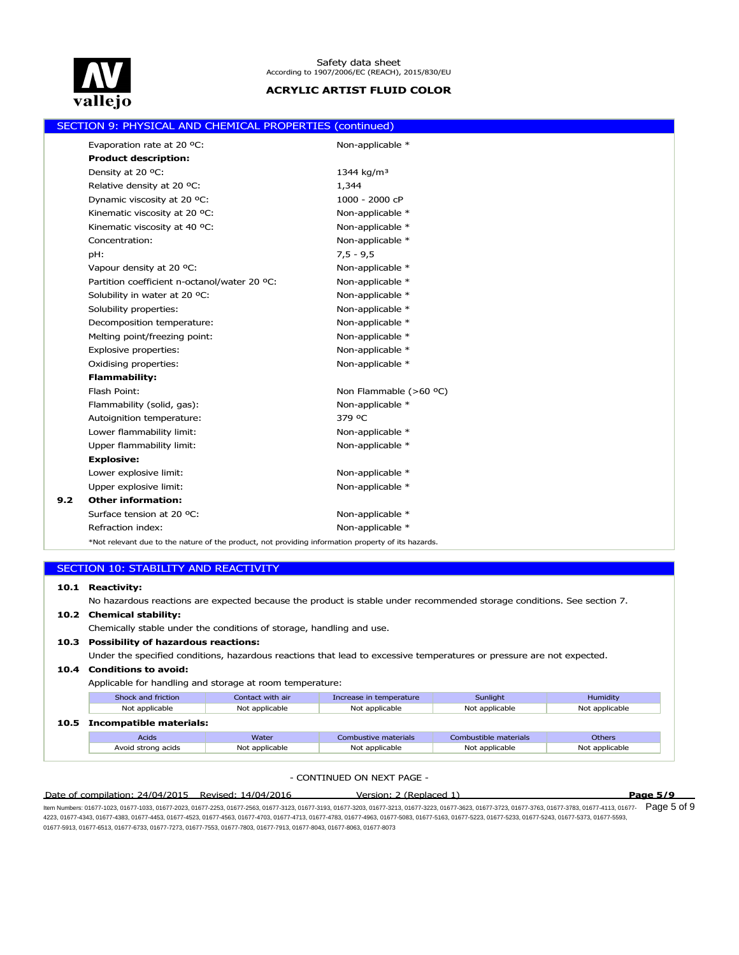

|     | SECTION 9: PHYSICAL AND CHEMICAL PROPERTIES (continued)                                            |                        |
|-----|----------------------------------------------------------------------------------------------------|------------------------|
|     | Evaporation rate at 20 °C:                                                                         | Non-applicable *       |
|     | <b>Product description:</b>                                                                        |                        |
|     | Density at 20 °C:                                                                                  | 1344 kg/m <sup>3</sup> |
|     | Relative density at 20 °C:                                                                         | 1,344                  |
|     | Dynamic viscosity at 20 °C:                                                                        | 1000 - 2000 cP         |
|     | Kinematic viscosity at 20 °C:                                                                      | Non-applicable *       |
|     | Kinematic viscosity at 40 °C:                                                                      | Non-applicable *       |
|     | Concentration:                                                                                     | Non-applicable *       |
|     | pH:                                                                                                | $7,5 - 9,5$            |
|     | Vapour density at 20 °C:                                                                           | Non-applicable *       |
|     | Partition coefficient n-octanol/water 20 °C:                                                       | Non-applicable *       |
|     | Solubility in water at 20 °C:                                                                      | Non-applicable *       |
|     | Solubility properties:                                                                             | Non-applicable *       |
|     | Decomposition temperature:                                                                         | Non-applicable *       |
|     | Melting point/freezing point:                                                                      | Non-applicable *       |
|     | Explosive properties:                                                                              | Non-applicable *       |
|     | Oxidising properties:                                                                              | Non-applicable *       |
|     | <b>Flammability:</b>                                                                               |                        |
|     | Flash Point:                                                                                       | Non Flammable (>60 °C) |
|     | Flammability (solid, gas):                                                                         | Non-applicable *       |
|     | Autoignition temperature:                                                                          | 379 °C                 |
|     | Lower flammability limit:                                                                          | Non-applicable *       |
|     | Upper flammability limit:                                                                          | Non-applicable *       |
|     | <b>Explosive:</b>                                                                                  |                        |
|     | Lower explosive limit:                                                                             | Non-applicable *       |
|     | Upper explosive limit:                                                                             | Non-applicable *       |
| 9.2 | <b>Other information:</b>                                                                          |                        |
|     | Surface tension at 20 °C:                                                                          | Non-applicable *       |
|     | Refraction index:                                                                                  | Non-applicable *       |
|     | *Not relevant due to the nature of the product, not providing information property of its hazards. |                        |

|  | <b>SECTION 10: STABILITY AND REACTIVITY</b> |  |
|--|---------------------------------------------|--|
|  |                                             |  |
|  |                                             |  |

### **10.1 Reactivity:**

No hazardous reactions are expected because the product is stable under recommended storage conditions. See section 7.

|      | 10.2 Chemical stability:                                                                                              |                  |                         |                       |               |  |  |  |  |
|------|-----------------------------------------------------------------------------------------------------------------------|------------------|-------------------------|-----------------------|---------------|--|--|--|--|
|      | Chemically stable under the conditions of storage, handling and use.                                                  |                  |                         |                       |               |  |  |  |  |
|      | 10.3 Possibility of hazardous reactions:                                                                              |                  |                         |                       |               |  |  |  |  |
|      | Under the specified conditions, hazardous reactions that lead to excessive temperatures or pressure are not expected. |                  |                         |                       |               |  |  |  |  |
|      | 10.4 Conditions to avoid:                                                                                             |                  |                         |                       |               |  |  |  |  |
|      | Applicable for handling and storage at room temperature:                                                              |                  |                         |                       |               |  |  |  |  |
|      | Shock and friction                                                                                                    | Contact with air | Increase in temperature | Sunlight              | Humidity      |  |  |  |  |
|      | Not applicable<br>Not applicable<br>Not applicable<br>Not applicable<br>Not applicable                                |                  |                         |                       |               |  |  |  |  |
| 10.5 | Incompatible materials:                                                                                               |                  |                         |                       |               |  |  |  |  |
|      | <b>Acids</b>                                                                                                          | Water            | Combustive materials    | Combustible materials | <b>Others</b> |  |  |  |  |

### - CONTINUED ON NEXT PAGE -

Date of compilation: 24/04/2015 Revised: 14/04/2016 Version: 2 (Replaced 1) **Page 5/9**

ltem Numbers: 01677-1023, 01677-1033, 01677-2023, 01677-2253, 01677-2563, 01677-3123, 01677-3233, 01677-3213, 01677-3723, 01677-3723, 01677-3783, 01677-3783, 01677-4113, 01677-  ${\sf Page}\,5$  of  $9$ 4223, 01677-4343, 01677-4383, 01677-4453, 01677-4523, 01677-4563, 01677-4703, 01677-4713, 01677-4783, 01677-4963, 01677-5083, 01677-5163, 01677-5223, 01677-5233, 01677-5243, 01677-5373, 01677-5593, 01677-5913, 01677-6513, 01677-6733, 01677-7273, 01677-7553, 01677-7803, 01677-7913, 01677-8043, 01677-8063, 01677-8073

Avoid strong acids Not applicable Not applicable Not applicable Not applicable Not applicable Not applicable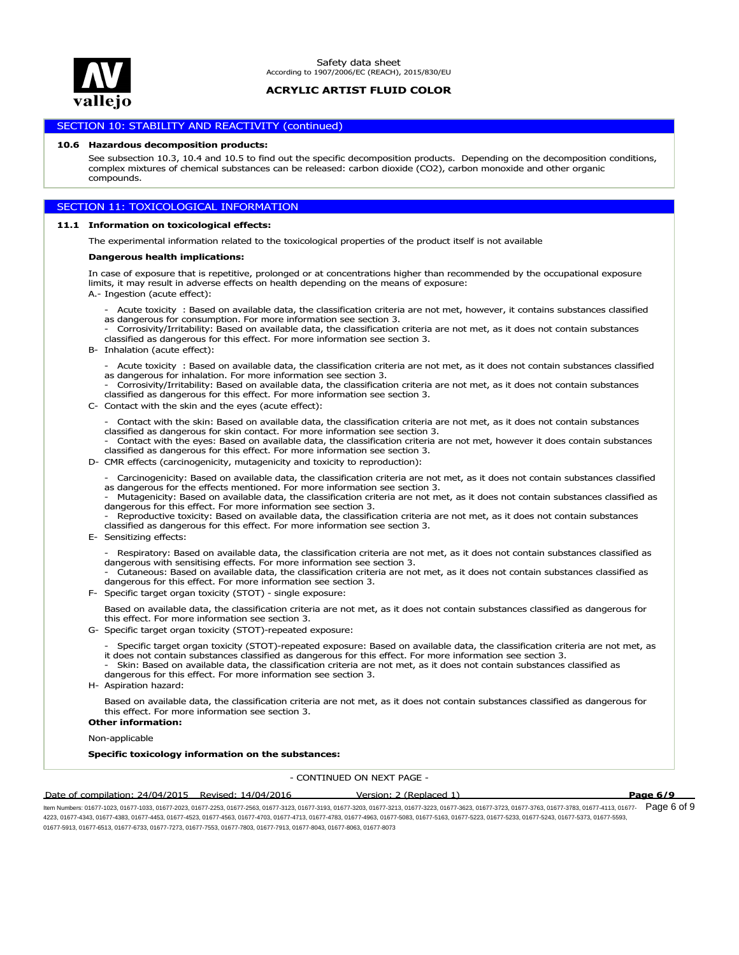

### SECTION 10: STABILITY AND REACTIVITY (continued)

#### **10.6 Hazardous decomposition products:**

See subsection 10.3, 10.4 and 10.5 to find out the specific decomposition products. Depending on the decomposition conditions, complex mixtures of chemical substances can be released: carbon dioxide (CO2), carbon monoxide and other organic compounds.

### SECTION 11: TOXICOLOGICAL INFORMATION

#### **11.1 Information on toxicological effects:**

The experimental information related to the toxicological properties of the product itself is not available

#### **Dangerous health implications:**

In case of exposure that is repetitive, prolonged or at concentrations higher than recommended by the occupational exposure limits, it may result in adverse effects on health depending on the means of exposure:

A.- Ingestion (acute effect):

- Acute toxicity : Based on available data, the classification criteria are not met, however, it contains substances classified as dangerous for consumption. For more information see section 3.
- Corrosivity/Irritability: Based on available data, the classification criteria are not met, as it does not contain substances classified as dangerous for this effect. For more information see section 3.
- B- Inhalation (acute effect):
	- Acute toxicity : Based on available data, the classification criteria are not met, as it does not contain substances classified as dangerous for inhalation. For more information see section 3.

- Corrosivity/Irritability: Based on available data, the classification criteria are not met, as it does not contain substances classified as dangerous for this effect. For more information see section 3.

C- Contact with the skin and the eyes (acute effect):

- Contact with the skin: Based on available data, the classification criteria are not met, as it does not contain substances classified as dangerous for skin contact. For more information see section 3.

- Contact with the eyes: Based on available data, the classification criteria are not met, however it does contain substances classified as dangerous for this effect. For more information see section 3.

D- CMR effects (carcinogenicity, mutagenicity and toxicity to reproduction):

- Carcinogenicity: Based on available data, the classification criteria are not met, as it does not contain substances classified as dangerous for the effects mentioned. For more information see section 3.

- Mutagenicity: Based on available data, the classification criteria are not met, as it does not contain substances classified as dangerous for this effect. For more information see section 3.

Reproductive toxicity: Based on available data, the classification criteria are not met, as it does not contain substances classified as dangerous for this effect. For more information see section 3.

- E- Sensitizing effects:
	- Respiratory: Based on available data, the classification criteria are not met, as it does not contain substances classified as dangerous with sensitising effects. For more information see section 3.

- Cutaneous: Based on available data, the classification criteria are not met, as it does not contain substances classified as dangerous for this effect. For more information see section 3.

F- Specific target organ toxicity (STOT) - single exposure:

Based on available data, the classification criteria are not met, as it does not contain substances classified as dangerous for this effect. For more information see section 3.

- G- Specific target organ toxicity (STOT)-repeated exposure:
	- Specific target organ toxicity (STOT)-repeated exposure: Based on available data, the classification criteria are not met, as it does not contain substances classified as dangerous for this effect. For more information see section 3.
	- Skin: Based on available data, the classification criteria are not met, as it does not contain substances classified as dangerous for this effect. For more information see section 3.
- H- Aspiration hazard:

Based on available data, the classification criteria are not met, as it does not contain substances classified as dangerous for this effect. For more information see section 3.

### **Other information:**

Non-applicable

**Specific toxicology information on the substances:**

- CONTINUED ON NEXT PAGE -

Date of compilation: 24/04/2015 Revised: 14/04/2016 Version: 2 (Replaced 1) **Page 6/9**

ltem Numbers: 01677-1023, 01677-1033, 01677-2023, 01677-2253, 01677-2563, 01677-3123, 01677-32303, 01677-3213, 01677-3723, 01677-3723, 01677-3783, 01677-3783, 01677-4113, 01677-  ${\sf Page}$  6 of 9 4223, 01677-4343, 01677-4383, 01677-4453, 01677-4523, 01677-4563, 01677-4703, 01677-4713, 01677-4783, 01677-4963, 01677-5083, 01677-5163, 01677-5223, 01677-5233, 01677-5243, 01677-5373, 01677-5593, 01677-5913, 01677-6513, 01677-6733, 01677-7273, 01677-7553, 01677-7803, 01677-7913, 01677-8043, 01677-8063, 01677-8073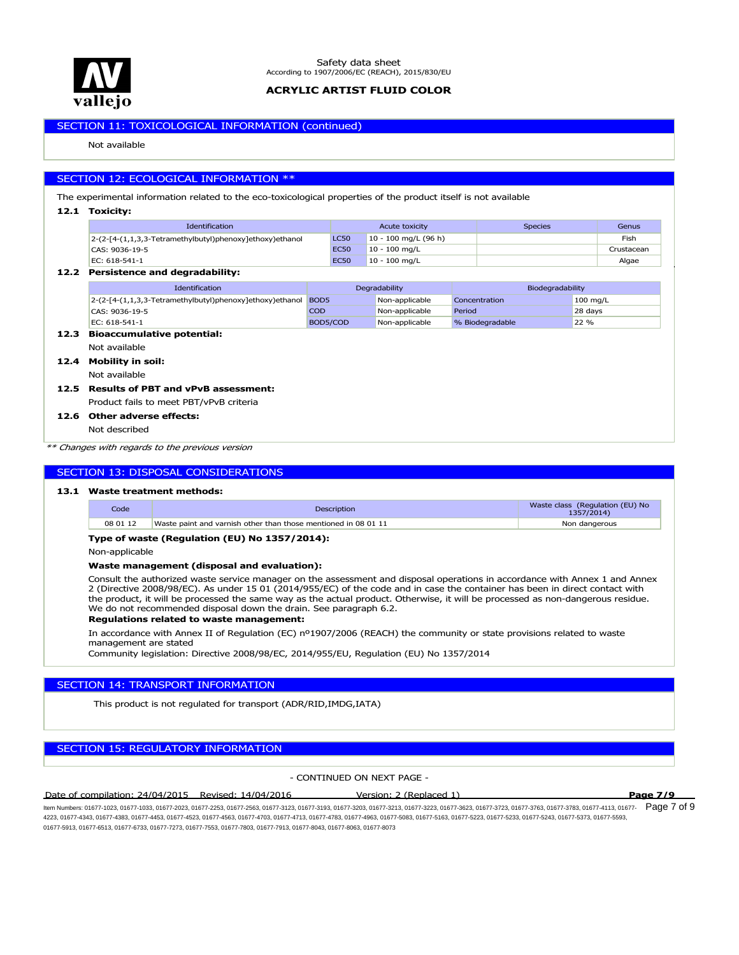

## SECTION 11: TOXICOLOGICAL INFORMATION (continued)

Not available

### SECTION 12: ECOLOGICAL INFORMATION \*\*

The experimental information related to the eco-toxicological properties of the product itself is not available

### **12.1 Toxicity:**

| <b>Identification</b>                                    | Acute toxicity |                        | <b>Species</b> | Genus      |
|----------------------------------------------------------|----------------|------------------------|----------------|------------|
| 2-(2-[4-(1,1,3,3-Tetramethylbutyl)phenoxy]ethoxy)ethanol | <b>LC50</b>    | $10 - 100$ mg/L (96 h) |                | Fish       |
| CAS: 9036-19-5                                           | <b>EC50</b>    | $10 - 100$ mg/L        |                | Crustacean |
| EC: 618-541-1                                            | <b>EC50</b>    | $10 - 100$ mg/L        |                | Algae      |

### **12.2 Persistence and degradability:**

| <b>Identification</b>                                    | Degradability    |                | Biodegradability |                    |
|----------------------------------------------------------|------------------|----------------|------------------|--------------------|
| 2-(2-[4-(1,1,3,3-Tetramethylbutyl)phenoxy]ethoxy)ethanol | BOD <sub>5</sub> | Non-applicable | Concentration    | $100 \text{ mg/L}$ |
| CAS: 9036-19-5                                           | <b>COD</b>       | Non-applicable | Period           | 28 days            |
| EC: 618-541-1                                            | BOD5/COD         | Non-applicable | % Biodegradable  | 22 %               |
|                                                          |                  |                |                  |                    |

### **12.3 Bioaccumulative potential:**

Not available

- **12.4 Mobility in soil:**
	- Not available

### Product fails to meet PBT/vPvB criteria **12.5 Results of PBT and vPvB assessment:**

**12.6 Other adverse effects:**

### Not described

*\*\* Changes with regards to the previous version*

### SECTION 13: DISPOSAL CONSIDERATIONS

### **13.1 Waste treatment methods:**

| Code     | <b>Description</b>                                             | Waste class (Regulation (EU) No<br>1357/2014) |
|----------|----------------------------------------------------------------|-----------------------------------------------|
| 08 01 12 | Waste paint and varnish other than those mentioned in 08 01 11 | Non dangerous                                 |

### **Type of waste (Regulation (EU) No 1357/2014):**

Non-applicable

#### **Waste management (disposal and evaluation):**

Consult the authorized waste service manager on the assessment and disposal operations in accordance with Annex 1 and Annex 2 (Directive 2008/98/EC). As under 15 01 (2014/955/EC) of the code and in case the container has been in direct contact with the product, it will be processed the same way as the actual product. Otherwise, it will be processed as non-dangerous residue. We do not recommended disposal down the drain. See paragraph 6.2.

#### **Regulations related to waste management:**

In accordance with Annex II of Regulation (EC) nº1907/2006 (REACH) the community or state provisions related to waste management are stated

Community legislation: Directive 2008/98/EC, 2014/955/EU, Regulation (EU) No 1357/2014

### SECTION 14: TRANSPORT INFORMATION

This product is not regulated for transport (ADR/RID,IMDG,IATA)

### SECTION 15: REGULATORY INFORMATION

### - CONTINUED ON NEXT PAGE -

Date of compilation: 24/04/2015 Revised: 14/04/2016 Version: 2 (Replaced 1) **Page 7/9**

ltem Numbers: 01677-1023, 01677-1033, 01677-2023, 01677-2253, 01677-2563, 01677-3123, 01677-3233, 01677-3213, 01677-3723, 01677-3723, 01677-3783, 01677-3783, 01677-4113, 01677-  ${\sf Page~7~of~9}$ 4223, 01677-4343, 01677-4383, 01677-4453, 01677-4523, 01677-4563, 01677-4703, 01677-4713, 01677-4783, 01677-4963, 01677-5083, 01677-5163, 01677-5223, 01677-5233, 01677-5243, 01677-5373, 01677-5593, 01677-5913, 01677-6513, 01677-6733, 01677-7273, 01677-7553, 01677-7803, 01677-7913, 01677-8043, 01677-8063, 01677-8073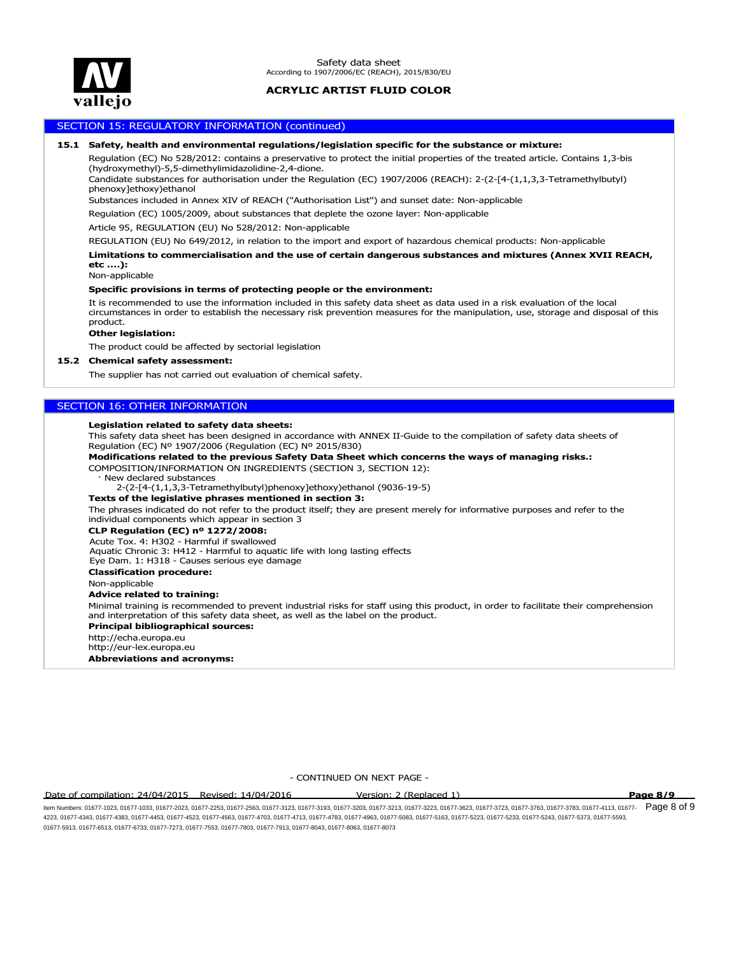

### SECTION 15: REGULATORY INFORMATION (continued)

#### **15.1 Safety, health and environmental regulations/legislation specific for the substance or mixture:**

Regulation (EC) No 528/2012: contains a preservative to protect the initial properties of the treated article. Contains 1,3-bis (hydroxymethyl)-5,5-dimethylimidazolidine-2,4-dione.

Candidate substances for authorisation under the Regulation (EC) 1907/2006 (REACH): 2-(2-[4-(1,1,3,3-Tetramethylbutyl) phenoxy]ethoxy)ethanol

Substances included in Annex XIV of REACH ("Authorisation List") and sunset date: Non-applicable

Regulation (EC) 1005/2009, about substances that deplete the ozone layer: Non-applicable

Article 95, REGULATION (EU) No 528/2012: Non-applicable

REGULATION (EU) No 649/2012, in relation to the import and export of hazardous chemical products: Non-applicable

**Limitations to commercialisation and the use of certain dangerous substances and mixtures (Annex XVII REACH, etc ….):**

Non-applicable

#### **Specific provisions in terms of protecting people or the environment:**

It is recommended to use the information included in this safety data sheet as data used in a risk evaluation of the local circumstances in order to establish the necessary risk prevention measures for the manipulation, use, storage and disposal of this product.

#### **Other legislation:**

The product could be affected by sectorial legislation

#### **15.2 Chemical safety assessment:**

The supplier has not carried out evaluation of chemical safety.

### SECTION 16: OTHER INFORMATION

#### **Legislation related to safety data sheets:**

This safety data sheet has been designed in accordance with ANNEX II-Guide to the compilation of safety data sheets of Regulation (EC) Nº 1907/2006 (Regulation (EC) Nº 2015/830)

**Modifications related to the previous Safety Data Sheet which concerns the ways of managing risks.:**

#### COMPOSITION/INFORMATION ON INGREDIENTS (SECTION 3, SECTION 12):

New declared substances

2-(2-[4-(1,1,3,3-Tetramethylbutyl)phenoxy]ethoxy)ethanol (9036-19-5)

#### **Texts of the legislative phrases mentioned in section 3:**

The phrases indicated do not refer to the product itself; they are present merely for informative purposes and refer to the individual components which appear in section 3

#### **CLP Regulation (EC) nº 1272/2008:**

Acute Tox. 4: H302 - Harmful if swallowed

Aquatic Chronic 3: H412 - Harmful to aquatic life with long lasting effects

Eye Dam. 1: H318 - Causes serious eye damage

**Classification procedure:**

Non-applicable

#### **Advice related to training:**

Minimal training is recommended to prevent industrial risks for staff using this product, in order to facilitate their comprehension and interpretation of this safety data sheet, as well as the label on the product.

**Principal bibliographical sources:**

**Abbreviations and acronyms:** http://echa.europa.eu http://eur-lex.europa.eu

- CONTINUED ON NEXT PAGE -

Date of compilation: 24/04/2015 Revised: 14/04/2016 Version: 2 (Replaced 1) **Page 8/9**

ltem Numbers: 01677-1023, 01677-1033, 01677-2023, 01677-2253, 01677-2563, 01677-3123, 01677-32303, 01677-3213, 01677-3723, 01677-3723, 01677-3783, 01677-3783, 01677-4113, 01677-  ${\sf Page}~8~{\rm of}~9$ 4223, 01677-4343, 01677-4383, 01677-4453, 01677-4523, 01677-4563, 01677-4703, 01677-4713, 01677-4783, 01677-4963, 01677-5083, 01677-5163, 01677-5223, 01677-5233, 01677-5243, 01677-5373, 01677-5593, 01677-5913, 01677-6513, 01677-6733, 01677-7273, 01677-7553, 01677-7803, 01677-7913, 01677-8043, 01677-8063, 01677-8073